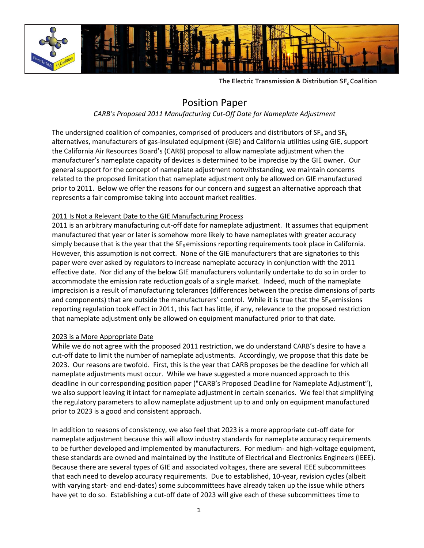

**The Electric Transmission & Distribution SF6 Coalition**

## Position Paper

*CARB's Proposed 2011 Manufacturing Cut-Off Date for Nameplate Adjustment*

The undersigned coalition of companies, comprised of producers and distributors of  $SF_6$  and  $SF_6$ alternatives, manufacturers of gas-insulated equipment (GIE) and California utilities using GIE, support the California Air Resources Board's (CARB) proposal to allow nameplate adjustment when the manufacturer's nameplate capacity of devices is determined to be imprecise by the GIE owner. Our general support for the concept of nameplate adjustment notwithstanding, we maintain concerns related to the proposed limitation that nameplate adjustment only be allowed on GIE manufactured prior to 2011. Below we offer the reasons for our concern and suggest an alternative approach that represents a fair compromise taking into account market realities.

## 2011 Is Not a Relevant Date to the GIE Manufacturing Process

2011 is an arbitrary manufacturing cut-off date for nameplate adjustment. It assumes that equipment manufactured that year or later is somehow more likely to have nameplates with greater accuracy simply because that is the year that the  $SF<sub>6</sub>$  emissions reporting requirements took place in California. However, this assumption is not correct. None of the GIE manufacturers that are signatories to this paper were ever asked by regulators to increase nameplate accuracy in conjunction with the 2011 effective date. Nor did any of the below GIE manufacturers voluntarily undertake to do so in order to accommodate the emission rate reduction goals of a single market. Indeed, much of the nameplate imprecision is a result of manufacturing tolerances (differences between the precise dimensions of parts and components) that are outside the manufacturers' control. While it is true that the SF<sub>6</sub> emissions reporting regulation took effect in 2011, this fact has little, if any, relevance to the proposed restriction that nameplate adjustment only be allowed on equipment manufactured prior to that date.

## 2023 is a More Appropriate Date

While we do not agree with the proposed 2011 restriction, we do understand CARB's desire to have a cut-off date to limit the number of nameplate adjustments. Accordingly, we propose that this date be 2023. Our reasons are twofold. First, this is the year that CARB proposes be the deadline for which all nameplate adjustments must occur. While we have suggested a more nuanced approach to this deadline in our corresponding position paper ("CARB's Proposed Deadline for Nameplate Adjustment"), we also support leaving it intact for nameplate adjustment in certain scenarios. We feel that simplifying the regulatory parameters to allow nameplate adjustment up to and only on equipment manufactured prior to 2023 is a good and consistent approach.

In addition to reasons of consistency, we also feel that 2023 is a more appropriate cut-off date for nameplate adjustment because this will allow industry standards for nameplate accuracy requirements to be further developed and implemented by manufacturers. For medium- and high-voltage equipment, these standards are owned and maintained by the Institute of Electrical and Electronics Engineers (IEEE). Because there are several types of GIE and associated voltages, there are several IEEE subcommittees that each need to develop accuracy requirements. Due to established, 10-year, revision cycles (albeit with varying start- and end-dates) some subcommittees have already taken up the issue while others have yet to do so. Establishing a cut-off date of 2023 will give each of these subcommittees time to